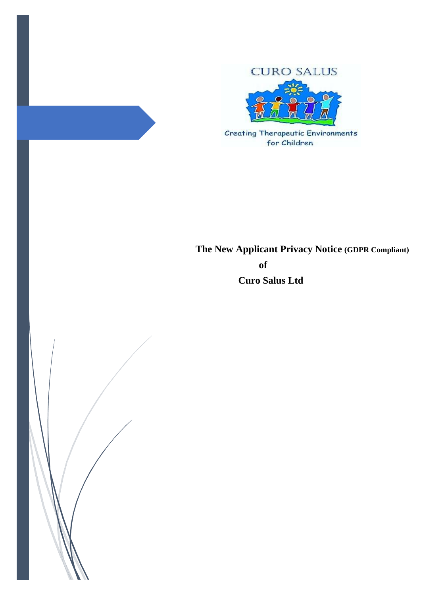

**Creating Therapeutic Environments** for Children

 **The New Applicant Privacy Notice (GDPR Compliant) of Curo Salus Ltd**

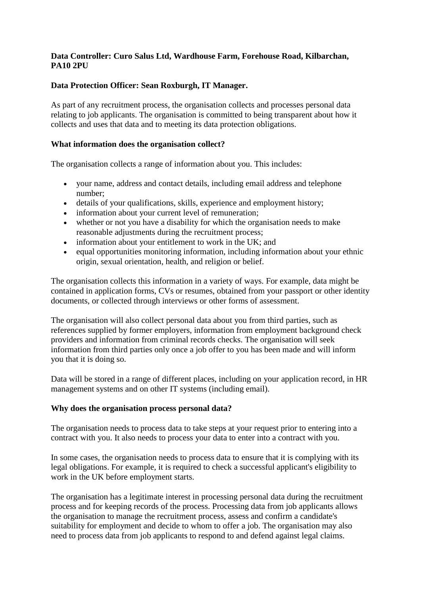### **Data Controller: Curo Salus Ltd, Wardhouse Farm, Forehouse Road, Kilbarchan, PA10 2PU**

## **Data Protection Officer: Sean Roxburgh, IT Manager.**

As part of any recruitment process, the organisation collects and processes personal data relating to job applicants. The organisation is committed to being transparent about how it collects and uses that data and to meeting its data protection obligations.

## **What information does the organisation collect?**

The organisation collects a range of information about you. This includes:

- your name, address and contact details, including email address and telephone number;
- details of your qualifications, skills, experience and employment history;
- information about your current level of remuneration;
- whether or not you have a disability for which the organisation needs to make reasonable adjustments during the recruitment process;
- information about your entitlement to work in the UK; and
- equal opportunities monitoring information, including information about your ethnic origin, sexual orientation, health, and religion or belief.

The organisation collects this information in a variety of ways. For example, data might be contained in application forms, CVs or resumes, obtained from your passport or other identity documents, or collected through interviews or other forms of assessment.

The organisation will also collect personal data about you from third parties, such as references supplied by former employers, information from employment background check providers and information from criminal records checks. The organisation will seek information from third parties only once a job offer to you has been made and will inform you that it is doing so.

Data will be stored in a range of different places, including on your application record, in HR management systems and on other IT systems (including email).

## **Why does the organisation process personal data?**

The organisation needs to process data to take steps at your request prior to entering into a contract with you. It also needs to process your data to enter into a contract with you.

In some cases, the organisation needs to process data to ensure that it is complying with its legal obligations. For example, it is required to check a successful applicant's eligibility to work in the UK before employment starts.

The organisation has a legitimate interest in processing personal data during the recruitment process and for keeping records of the process. Processing data from job applicants allows the organisation to manage the recruitment process, assess and confirm a candidate's suitability for employment and decide to whom to offer a job. The organisation may also need to process data from job applicants to respond to and defend against legal claims.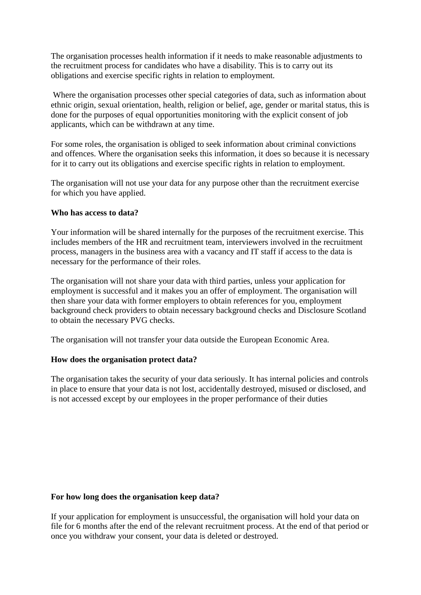The organisation processes health information if it needs to make reasonable adjustments to the recruitment process for candidates who have a disability. This is to carry out its obligations and exercise specific rights in relation to employment.

Where the organisation processes other special categories of data, such as information about ethnic origin, sexual orientation, health, religion or belief, age, gender or marital status, this is done for the purposes of equal opportunities monitoring with the explicit consent of job applicants, which can be withdrawn at any time.

For some roles, the organisation is obliged to seek information about criminal convictions and offences. Where the organisation seeks this information, it does so because it is necessary for it to carry out its obligations and exercise specific rights in relation to employment.

The organisation will not use your data for any purpose other than the recruitment exercise for which you have applied.

#### **Who has access to data?**

Your information will be shared internally for the purposes of the recruitment exercise. This includes members of the HR and recruitment team, interviewers involved in the recruitment process, managers in the business area with a vacancy and IT staff if access to the data is necessary for the performance of their roles.

The organisation will not share your data with third parties, unless your application for employment is successful and it makes you an offer of employment. The organisation will then share your data with former employers to obtain references for you, employment background check providers to obtain necessary background checks and Disclosure Scotland to obtain the necessary PVG checks.

The organisation will not transfer your data outside the European Economic Area.

## **How does the organisation protect data?**

The organisation takes the security of your data seriously. It has internal policies and controls in place to ensure that your data is not lost, accidentally destroyed, misused or disclosed, and is not accessed except by our employees in the proper performance of their duties

#### **For how long does the organisation keep data?**

If your application for employment is unsuccessful, the organisation will hold your data on file for 6 months after the end of the relevant recruitment process. At the end of that period or once you withdraw your consent, your data is deleted or destroyed.